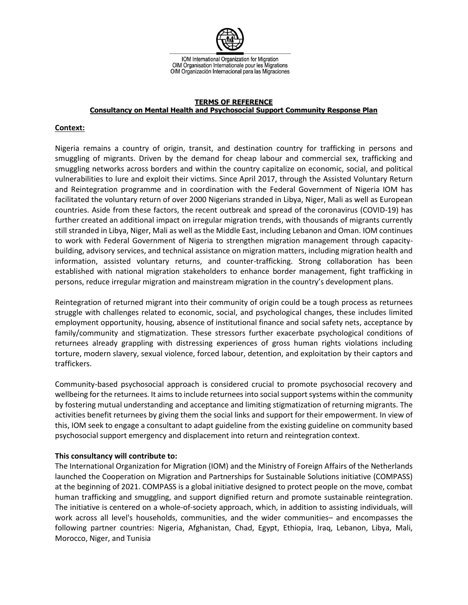

#### **TERMS OF REFERENCE Consultancy on Mental Health and Psychosocial Support Community Response Plan**

## **Context:**

Nigeria remains a country of origin, transit, and destination country for trafficking in persons and smuggling of migrants. Driven by the demand for cheap labour and commercial sex, trafficking and smuggling networks across borders and within the country capitalize on economic, social, and political vulnerabilities to lure and exploit their victims. Since April 2017, through the Assisted Voluntary Return and Reintegration programme and in coordination with the Federal Government of Nigeria IOM has facilitated the voluntary return of over 2000 Nigerians stranded in Libya, Niger, Mali as well as European countries. Aside from these factors, the recent outbreak and spread of the coronavirus (COVID-19) has further created an additional impact on irregular migration trends, with thousands of migrants currently still stranded in Libya, Niger, Mali as well as the Middle East, including Lebanon and Oman. IOM continues to work with Federal Government of Nigeria to strengthen migration management through capacitybuilding, advisory services, and technical assistance on migration matters, including migration health and information, assisted voluntary returns, and counter-trafficking. Strong collaboration has been established with national migration stakeholders to enhance border management, fight trafficking in persons, reduce irregular migration and mainstream migration in the country's development plans.

Reintegration of returned migrant into their community of origin could be a tough process as returnees struggle with challenges related to economic, social, and psychological changes, these includes limited employment opportunity, housing, absence of institutional finance and social safety nets, acceptance by family/community and stigmatization. These stressors further exacerbate psychological conditions of returnees already grappling with distressing experiences of gross human rights violations including torture, modern slavery, sexual violence, forced labour, detention, and exploitation by their captors and traffickers.

Community-based psychosocial approach is considered crucial to promote psychosocial recovery and wellbeing for the returnees. It aims to include returnees into social support systems within the community by fostering mutual understanding and acceptance and limiting stigmatization of returning migrants. The activities benefit returnees by giving them the social links and support for their empowerment. In view of this, IOM seek to engage a consultant to adapt guideline from the existing guideline on community based psychosocial support emergency and displacement into return and reintegration context.

## **This consultancy will contribute to:**

The International Organization for Migration (IOM) and the Ministry of Foreign Affairs of the Netherlands launched the Cooperation on Migration and Partnerships for Sustainable Solutions initiative (COMPASS) at the beginning of 2021. COMPASS is a global initiative designed to protect people on the move, combat human trafficking and smuggling, and support dignified return and promote sustainable reintegration. The initiative is centered on a whole-of-society approach, which, in addition to assisting individuals, will work across all level's households, communities, and the wider communities– and encompasses the following partner countries: Nigeria, Afghanistan, Chad, Egypt, Ethiopia, Iraq, Lebanon, Libya, Mali, Morocco, Niger, and Tunisia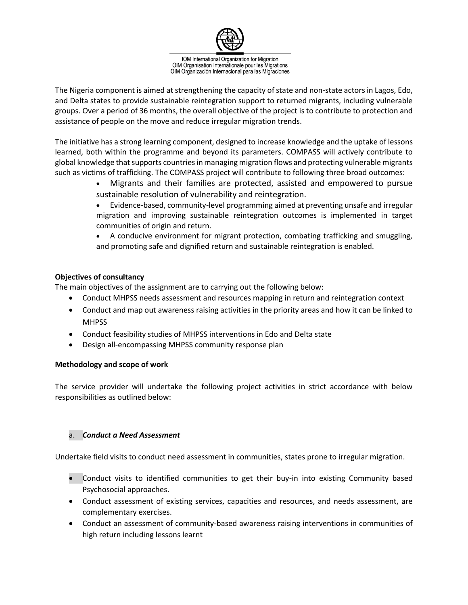

The Nigeria component is aimed at strengthening the capacity of state and non-state actors in Lagos, Edo, and Delta states to provide sustainable reintegration support to returned migrants, including vulnerable groups. Over a period of 36 months, the overall objective of the project is to contribute to protection and assistance of people on the move and reduce irregular migration trends.

The initiative has a strong learning component, designed to increase knowledge and the uptake of lessons learned, both within the programme and beyond its parameters. COMPASS will actively contribute to global knowledge that supports countries in managing migration flows and protecting vulnerable migrants such as victims of trafficking. The COMPASS project will contribute to following three broad outcomes:

- Migrants and their families are protected, assisted and empowered to pursue sustainable resolution of vulnerability and reintegration.
- Evidence-based, community-level programming aimed at preventing unsafe and irregular migration and improving sustainable reintegration outcomes is implemented in target communities of origin and return.

• A conducive environment for migrant protection, combating trafficking and smuggling, and promoting safe and dignified return and sustainable reintegration is enabled.

# **Objectives of consultancy**

The main objectives of the assignment are to carrying out the following below:

- Conduct MHPSS needs assessment and resources mapping in return and reintegration context
- Conduct and map out awareness raising activities in the priority areas and how it can be linked to **MHPSS**
- Conduct feasibility studies of MHPSS interventions in Edo and Delta state
- Design all-encompassing MHPSS community response plan

## **Methodology and scope of work**

The service provider will undertake the following project activities in strict accordance with below responsibilities as outlined below:

## a. *Conduct a Need Assessment*

Undertake field visits to conduct need assessment in communities, states prone to irregular migration.

- Conduct visits to identified communities to get their buy-in into existing Community based Psychosocial approaches.
- Conduct assessment of existing services, capacities and resources, and needs assessment, are complementary exercises.
- Conduct an assessment of community-based awareness raising interventions in communities of high return including lessons learnt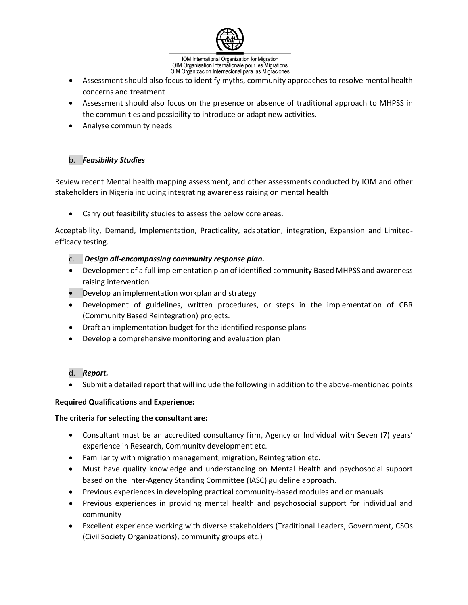

- Assessment should also focus to identify myths, community approaches to resolve mental health concerns and treatment
- Assessment should also focus on the presence or absence of traditional approach to MHPSS in the communities and possibility to introduce or adapt new activities.
- Analyse community needs

# b. *Feasibility Studies*

Review recent Mental health mapping assessment, and other assessments conducted by IOM and other stakeholders in Nigeria including integrating awareness raising on mental health

• Carry out feasibility studies to assess the below core areas.

Acceptability, Demand, Implementation, Practicality, adaptation, integration, Expansion and Limitedefficacy testing.

- c. *Design all-encompassing community response plan.*
- Development of a full implementation plan of identified community Based MHPSS and awareness raising intervention
- Develop an implementation workplan and strategy
- Development of guidelines, written procedures, or steps in the implementation of CBR (Community Based Reintegration) projects.
- Draft an implementation budget for the identified response plans
- Develop a comprehensive monitoring and evaluation plan
- d. *Report.*
- Submit a detailed report that will include the following in addition to the above-mentioned points

## **Required Qualifications and Experience:**

## **The criteria for selecting the consultant are:**

- Consultant must be an accredited consultancy firm, Agency or Individual with Seven (7) years' experience in Research, Community development etc.
- Familiarity with migration management, migration, Reintegration etc.
- Must have quality knowledge and understanding on Mental Health and psychosocial support based on the Inter-Agency Standing Committee (IASC) guideline approach.
- Previous experiences in developing practical community-based modules and or manuals
- Previous experiences in providing mental health and psychosocial support for individual and community
- Excellent experience working with diverse stakeholders (Traditional Leaders, Government, CSOs (Civil Society Organizations), community groups etc.)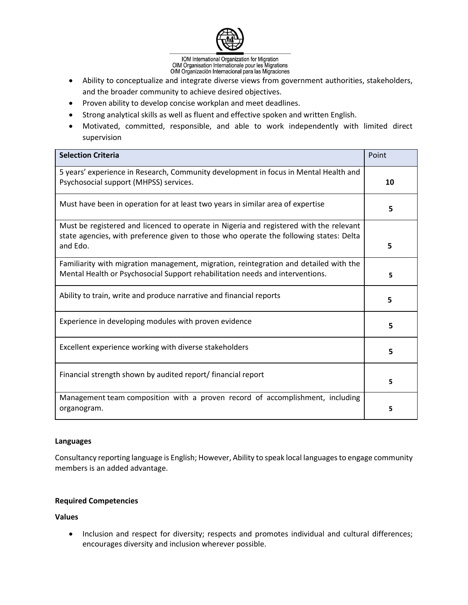

- Ability to conceptualize and integrate diverse views from government authorities, stakeholders, and the broader community to achieve desired objectives.
- Proven ability to develop concise workplan and meet deadlines.
- Strong analytical skills as well as fluent and effective spoken and written English.
- Motivated, committed, responsible, and able to work independently with limited direct supervision

| <b>Selection Criteria</b>                                                                                                                                                                    | Point |
|----------------------------------------------------------------------------------------------------------------------------------------------------------------------------------------------|-------|
| 5 years' experience in Research, Community development in focus in Mental Health and<br>Psychosocial support (MHPSS) services.                                                               | 10    |
| Must have been in operation for at least two years in similar area of expertise                                                                                                              | 5     |
| Must be registered and licenced to operate in Nigeria and registered with the relevant<br>state agencies, with preference given to those who operate the following states: Delta<br>and Edo. | 5     |
| Familiarity with migration management, migration, reintegration and detailed with the<br>Mental Health or Psychosocial Support rehabilitation needs and interventions.                       | 5     |
| Ability to train, write and produce narrative and financial reports                                                                                                                          | 5     |
| Experience in developing modules with proven evidence                                                                                                                                        | 5     |
| Excellent experience working with diverse stakeholders                                                                                                                                       | 5     |
| Financial strength shown by audited report/ financial report                                                                                                                                 | 5     |
| Management team composition with a proven record of accomplishment, including<br>organogram.                                                                                                 | 5     |

#### **Languages**

Consultancy reporting language is English; However, Ability to speak local languages to engage community members is an added advantage.

## **Required Competencies**

**Values** 

• Inclusion and respect for diversity; respects and promotes individual and cultural differences; encourages diversity and inclusion wherever possible.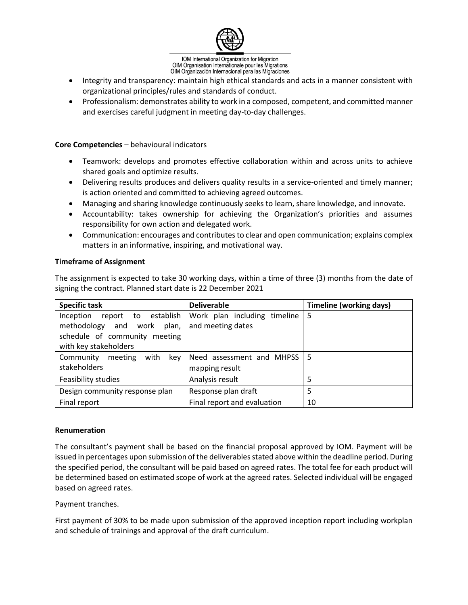

- Integrity and transparency: maintain high ethical standards and acts in a manner consistent with organizational principles/rules and standards of conduct.
- Professionalism: demonstrates ability to work in a composed, competent, and committed manner and exercises careful judgment in meeting day-to-day challenges.

#### **Core Competencies** – behavioural indicators

- Teamwork: develops and promotes effective collaboration within and across units to achieve shared goals and optimize results.
- Delivering results produces and delivers quality results in a service-oriented and timely manner; is action oriented and committed to achieving agreed outcomes.
- Managing and sharing knowledge continuously seeks to learn, share knowledge, and innovate.
- Accountability: takes ownership for achieving the Organization's priorities and assumes responsibility for own action and delegated work.
- Communication: encourages and contributes to clear and open communication; explains complex matters in an informative, inspiring, and motivational way.

#### **Timeframe of Assignment**

The assignment is expected to take 30 working days, within a time of three (3) months from the date of signing the contract. Planned start date is 22 December 2021

| <b>Specific task</b>           | <b>Deliverable</b>               | <b>Timeline (working days)</b> |
|--------------------------------|----------------------------------|--------------------------------|
| Inception report to establish  | Work plan including timeline   5 |                                |
| methodology and work plan,     | and meeting dates                |                                |
| schedule of community meeting  |                                  |                                |
| with key stakeholders          |                                  |                                |
| Community meeting with key     | Need assessment and MHPSS   5    |                                |
| stakeholders                   | mapping result                   |                                |
| Feasibility studies            | Analysis result                  |                                |
| Design community response plan | Response plan draft              | 5                              |
| Final report                   | Final report and evaluation      | 10                             |

#### **Renumeration**

The consultant's payment shall be based on the financial proposal approved by IOM. Payment will be issued in percentages upon submission of the deliverables stated above within the deadline period. During the specified period, the consultant will be paid based on agreed rates. The total fee for each product will be determined based on estimated scope of work at the agreed rates. Selected individual will be engaged based on agreed rates.

Payment tranches.

First payment of 30% to be made upon submission of the approved inception report including workplan and schedule of trainings and approval of the draft curriculum.